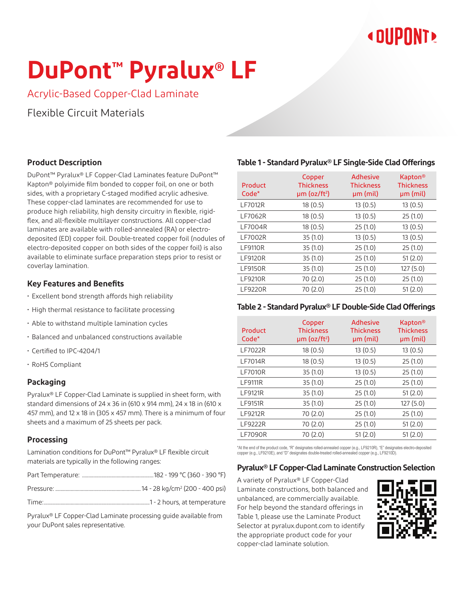## **« DIIPNNT»**

# **DuPont™ Pyralux® LF**

Acrylic-Based Copper-Clad Laminate

Flexible Circuit Materials

### **Product Description**

DuPont™ Pyralux® LF Copper-Clad Laminates feature DuPont™ Kapton® polyimide film bonded to copper foil, on one or both sides, with a proprietary C-staged modified acrylic adhesive. These copper-clad laminates are recommended for use to produce high reliability, high density circuitry in flexible, rigidflex, and all-flexible multilayer constructions. All copper-clad laminates are available with rolled-annealed (RA) or electrodeposited (ED) copper foil. Double-treated copper foil (nodules of electro-deposited copper on both sides of the copper foil) is also available to eliminate surface preparation steps prior to resist or coverlay lamination.

### **Key Features and Benefits**

- Excellent bond strength affords high reliability
- High thermal resistance to facilitate processing
- Able to withstand multiple lamination cycles
- Balanced and unbalanced constructions available
- Certified to IPC-4204/1
- RoHS Compliant

### **Packaging**

Pyralux® LF Copper-Clad Laminate is supplied in sheet form, with standard dimensions of 24 x 36 in (610 x 914 mm), 24 x 18 in (610 x 457 mm), and 12 x 18 in (305 x 457 mm). There is a minimum of four sheets and a maximum of 25 sheets per pack.

### **Processing**

Lamination conditions for DuPont™ Pyralux® LF flexible circuit materials are typically in the following ranges:

|--|--|--|--|--|--|

Time:...................................................................................1 - 2 hours, at temperature

Pyralux® LF Copper-Clad Laminate processing guide available from your DuPont sales representative.

### **Table 1 - Standard Pyralux® LF Single-Side Clad Offerings**

| Product<br>Code* | Copper<br><b>Thickness</b><br>$µm$ (oz/ft <sup>2</sup> ) | <b>Adhesive</b><br><b>Thickness</b><br>µm (mil) | Kapton <sup>®</sup><br><b>Thickness</b><br>$µm$ (mil) |
|------------------|----------------------------------------------------------|-------------------------------------------------|-------------------------------------------------------|
| <b>LF7012R</b>   | 18 (0.5)                                                 | 13(0.5)                                         | 13(0.5)                                               |
| <b>LF7062R</b>   | 18(0.5)                                                  | 13(0.5)                                         | 25(1.0)                                               |
| <b>LF7004R</b>   | 18 (0.5)                                                 | 25(1.0)                                         | 13(0.5)                                               |
| <b>LF7002R</b>   | 35(1.0)                                                  | 13(0.5)                                         | 13(0.5)                                               |
| <b>LF9110R</b>   | 35 (1.0)                                                 | 25(1.0)                                         | 25(1.0)                                               |
| <b>LF9120R</b>   | 35(1.0)                                                  | 25(1.0)                                         | 51(2.0)                                               |
| <b>LF9150R</b>   | 35(1.0)                                                  | 25(1.0)                                         | 127(5.0)                                              |
| <b>LF9210R</b>   | 70 (2.0)                                                 | 25(1.0)                                         | 25(1.0)                                               |
| <b>LF9220R</b>   | 70 (2.0)                                                 | 25(1.0)                                         | 51(2.0)                                               |

#### **Table 2 - Standard Pyralux® LF Double-Side Clad Offerings**

| Product<br>Code* | Copper<br><b>Thickness</b><br>$µm$ (oz/ft <sup>2</sup> ) | <b>Adhesive</b><br><b>Thickness</b><br>µm (mil) | <b>Kapton®</b><br><b>Thickness</b><br>$µm$ (mil) |
|------------------|----------------------------------------------------------|-------------------------------------------------|--------------------------------------------------|
| <b>LF7022R</b>   | 18 (0.5)                                                 | 13(0.5)                                         | 13(0.5)                                          |
| <b>LF7014R</b>   | 18(0.5)                                                  | 13(0.5)                                         | 25(1.0)                                          |
| <b>LF7010R</b>   | 35(1.0)                                                  | 13(0.5)                                         | 25(1.0)                                          |
| <b>LF9111R</b>   | 35(1.0)                                                  | 25(1.0)                                         | 25(1.0)                                          |
| <b>LF9121R</b>   | 35(1.0)                                                  | 25(1.0)                                         | 51(2.0)                                          |
| <b>LF9151R</b>   | 35(1.0)                                                  | 25(1.0)                                         | 127(5.0)                                         |
| <b>LF9212R</b>   | 70 (2.0)                                                 | 25(1.0)                                         | 25(1.0)                                          |
| <b>LF9222R</b>   | 70 (2.0)                                                 | 25(1.0)                                         | 51(2.0)                                          |
| <b>LF7090R</b>   | 70 (2.0)                                                 | 51(2.0)                                         | 51(2.0)                                          |

\*At the end of the product code, "R" designates rolled-annealed copper (e.g., LF9210R), "E" designates electro-deposited copper (e.g., LF9210E), and "D" designates double-treated rolled-annealed copper (e.g., LF9210D).

### **Pyralux® LF Copper-Clad Laminate Construction Selection**

A variety of Pyralux® LF Copper-Clad Laminate constructions, both balanced and unbalanced, are commercially available. For help beyond the standard offerings in Table 1, please use the Laminate Product Selector at pyralux.dupont.com to identify the appropriate product code for your copper-clad laminate solution.